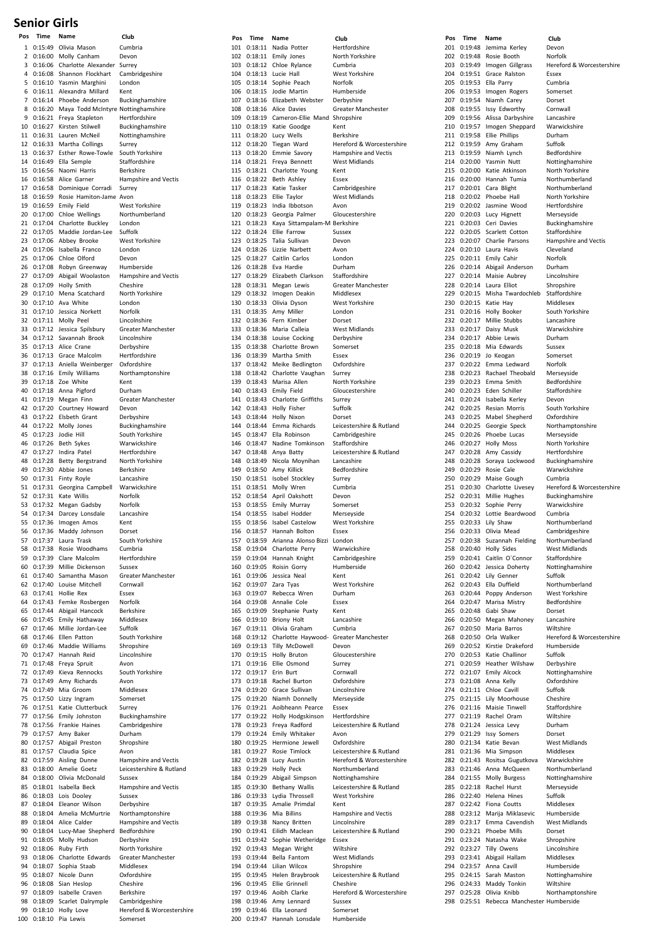## **Senior Girls**

|                          |                                                   | Cumbria                                                                                                                                                                                                                                                                                                                                                                                                                                                                                                                                                                                                                                                                                                                                                                                                                                                                                                                                                                                                                                                                                                                                                                                                                                                                                                                                                                                                                                                                                                                                                                                                                                                                                                                                                                                                                                                                                                                                                                                                                                                                                                                                                                                                                                                                                                                      |
|--------------------------|---------------------------------------------------|------------------------------------------------------------------------------------------------------------------------------------------------------------------------------------------------------------------------------------------------------------------------------------------------------------------------------------------------------------------------------------------------------------------------------------------------------------------------------------------------------------------------------------------------------------------------------------------------------------------------------------------------------------------------------------------------------------------------------------------------------------------------------------------------------------------------------------------------------------------------------------------------------------------------------------------------------------------------------------------------------------------------------------------------------------------------------------------------------------------------------------------------------------------------------------------------------------------------------------------------------------------------------------------------------------------------------------------------------------------------------------------------------------------------------------------------------------------------------------------------------------------------------------------------------------------------------------------------------------------------------------------------------------------------------------------------------------------------------------------------------------------------------------------------------------------------------------------------------------------------------------------------------------------------------------------------------------------------------------------------------------------------------------------------------------------------------------------------------------------------------------------------------------------------------------------------------------------------------------------------------------------------------------------------------------------------------|
|                          |                                                   | Devon                                                                                                                                                                                                                                                                                                                                                                                                                                                                                                                                                                                                                                                                                                                                                                                                                                                                                                                                                                                                                                                                                                                                                                                                                                                                                                                                                                                                                                                                                                                                                                                                                                                                                                                                                                                                                                                                                                                                                                                                                                                                                                                                                                                                                                                                                                                        |
| 3                        |                                                   |                                                                                                                                                                                                                                                                                                                                                                                                                                                                                                                                                                                                                                                                                                                                                                                                                                                                                                                                                                                                                                                                                                                                                                                                                                                                                                                                                                                                                                                                                                                                                                                                                                                                                                                                                                                                                                                                                                                                                                                                                                                                                                                                                                                                                                                                                                                              |
|                          |                                                   | Cambridgeshire<br>London                                                                                                                                                                                                                                                                                                                                                                                                                                                                                                                                                                                                                                                                                                                                                                                                                                                                                                                                                                                                                                                                                                                                                                                                                                                                                                                                                                                                                                                                                                                                                                                                                                                                                                                                                                                                                                                                                                                                                                                                                                                                                                                                                                                                                                                                                                     |
|                          |                                                   | Kent                                                                                                                                                                                                                                                                                                                                                                                                                                                                                                                                                                                                                                                                                                                                                                                                                                                                                                                                                                                                                                                                                                                                                                                                                                                                                                                                                                                                                                                                                                                                                                                                                                                                                                                                                                                                                                                                                                                                                                                                                                                                                                                                                                                                                                                                                                                         |
| 7                        |                                                   | Buckinghamshire                                                                                                                                                                                                                                                                                                                                                                                                                                                                                                                                                                                                                                                                                                                                                                                                                                                                                                                                                                                                                                                                                                                                                                                                                                                                                                                                                                                                                                                                                                                                                                                                                                                                                                                                                                                                                                                                                                                                                                                                                                                                                                                                                                                                                                                                                                              |
|                          |                                                   |                                                                                                                                                                                                                                                                                                                                                                                                                                                                                                                                                                                                                                                                                                                                                                                                                                                                                                                                                                                                                                                                                                                                                                                                                                                                                                                                                                                                                                                                                                                                                                                                                                                                                                                                                                                                                                                                                                                                                                                                                                                                                                                                                                                                                                                                                                                              |
|                          |                                                   | Hertfordshire                                                                                                                                                                                                                                                                                                                                                                                                                                                                                                                                                                                                                                                                                                                                                                                                                                                                                                                                                                                                                                                                                                                                                                                                                                                                                                                                                                                                                                                                                                                                                                                                                                                                                                                                                                                                                                                                                                                                                                                                                                                                                                                                                                                                                                                                                                                |
|                          |                                                   | Buckinghamshire                                                                                                                                                                                                                                                                                                                                                                                                                                                                                                                                                                                                                                                                                                                                                                                                                                                                                                                                                                                                                                                                                                                                                                                                                                                                                                                                                                                                                                                                                                                                                                                                                                                                                                                                                                                                                                                                                                                                                                                                                                                                                                                                                                                                                                                                                                              |
|                          |                                                   | Nottinghamshire<br>Surrey                                                                                                                                                                                                                                                                                                                                                                                                                                                                                                                                                                                                                                                                                                                                                                                                                                                                                                                                                                                                                                                                                                                                                                                                                                                                                                                                                                                                                                                                                                                                                                                                                                                                                                                                                                                                                                                                                                                                                                                                                                                                                                                                                                                                                                                                                                    |
|                          |                                                   | South Yorkshire                                                                                                                                                                                                                                                                                                                                                                                                                                                                                                                                                                                                                                                                                                                                                                                                                                                                                                                                                                                                                                                                                                                                                                                                                                                                                                                                                                                                                                                                                                                                                                                                                                                                                                                                                                                                                                                                                                                                                                                                                                                                                                                                                                                                                                                                                                              |
|                          |                                                   | Staffordshire                                                                                                                                                                                                                                                                                                                                                                                                                                                                                                                                                                                                                                                                                                                                                                                                                                                                                                                                                                                                                                                                                                                                                                                                                                                                                                                                                                                                                                                                                                                                                                                                                                                                                                                                                                                                                                                                                                                                                                                                                                                                                                                                                                                                                                                                                                                |
|                          |                                                   | Berkshire                                                                                                                                                                                                                                                                                                                                                                                                                                                                                                                                                                                                                                                                                                                                                                                                                                                                                                                                                                                                                                                                                                                                                                                                                                                                                                                                                                                                                                                                                                                                                                                                                                                                                                                                                                                                                                                                                                                                                                                                                                                                                                                                                                                                                                                                                                                    |
|                          |                                                   | Hampshire and Vectis                                                                                                                                                                                                                                                                                                                                                                                                                                                                                                                                                                                                                                                                                                                                                                                                                                                                                                                                                                                                                                                                                                                                                                                                                                                                                                                                                                                                                                                                                                                                                                                                                                                                                                                                                                                                                                                                                                                                                                                                                                                                                                                                                                                                                                                                                                         |
|                          |                                                   | Surrey                                                                                                                                                                                                                                                                                                                                                                                                                                                                                                                                                                                                                                                                                                                                                                                                                                                                                                                                                                                                                                                                                                                                                                                                                                                                                                                                                                                                                                                                                                                                                                                                                                                                                                                                                                                                                                                                                                                                                                                                                                                                                                                                                                                                                                                                                                                       |
|                          |                                                   | West Yorkshire                                                                                                                                                                                                                                                                                                                                                                                                                                                                                                                                                                                                                                                                                                                                                                                                                                                                                                                                                                                                                                                                                                                                                                                                                                                                                                                                                                                                                                                                                                                                                                                                                                                                                                                                                                                                                                                                                                                                                                                                                                                                                                                                                                                                                                                                                                               |
|                          |                                                   | Northumberland                                                                                                                                                                                                                                                                                                                                                                                                                                                                                                                                                                                                                                                                                                                                                                                                                                                                                                                                                                                                                                                                                                                                                                                                                                                                                                                                                                                                                                                                                                                                                                                                                                                                                                                                                                                                                                                                                                                                                                                                                                                                                                                                                                                                                                                                                                               |
|                          |                                                   | London                                                                                                                                                                                                                                                                                                                                                                                                                                                                                                                                                                                                                                                                                                                                                                                                                                                                                                                                                                                                                                                                                                                                                                                                                                                                                                                                                                                                                                                                                                                                                                                                                                                                                                                                                                                                                                                                                                                                                                                                                                                                                                                                                                                                                                                                                                                       |
| 22                       | Maddie Jordan-Lee                                 | Suffolk                                                                                                                                                                                                                                                                                                                                                                                                                                                                                                                                                                                                                                                                                                                                                                                                                                                                                                                                                                                                                                                                                                                                                                                                                                                                                                                                                                                                                                                                                                                                                                                                                                                                                                                                                                                                                                                                                                                                                                                                                                                                                                                                                                                                                                                                                                                      |
|                          |                                                   | West Yorkshire                                                                                                                                                                                                                                                                                                                                                                                                                                                                                                                                                                                                                                                                                                                                                                                                                                                                                                                                                                                                                                                                                                                                                                                                                                                                                                                                                                                                                                                                                                                                                                                                                                                                                                                                                                                                                                                                                                                                                                                                                                                                                                                                                                                                                                                                                                               |
|                          |                                                   | London<br>Devon                                                                                                                                                                                                                                                                                                                                                                                                                                                                                                                                                                                                                                                                                                                                                                                                                                                                                                                                                                                                                                                                                                                                                                                                                                                                                                                                                                                                                                                                                                                                                                                                                                                                                                                                                                                                                                                                                                                                                                                                                                                                                                                                                                                                                                                                                                              |
|                          |                                                   | Humberside                                                                                                                                                                                                                                                                                                                                                                                                                                                                                                                                                                                                                                                                                                                                                                                                                                                                                                                                                                                                                                                                                                                                                                                                                                                                                                                                                                                                                                                                                                                                                                                                                                                                                                                                                                                                                                                                                                                                                                                                                                                                                                                                                                                                                                                                                                                   |
|                          |                                                   | Hampshire and Vectis                                                                                                                                                                                                                                                                                                                                                                                                                                                                                                                                                                                                                                                                                                                                                                                                                                                                                                                                                                                                                                                                                                                                                                                                                                                                                                                                                                                                                                                                                                                                                                                                                                                                                                                                                                                                                                                                                                                                                                                                                                                                                                                                                                                                                                                                                                         |
|                          |                                                   | Cheshire                                                                                                                                                                                                                                                                                                                                                                                                                                                                                                                                                                                                                                                                                                                                                                                                                                                                                                                                                                                                                                                                                                                                                                                                                                                                                                                                                                                                                                                                                                                                                                                                                                                                                                                                                                                                                                                                                                                                                                                                                                                                                                                                                                                                                                                                                                                     |
|                          |                                                   | North Yorkshire                                                                                                                                                                                                                                                                                                                                                                                                                                                                                                                                                                                                                                                                                                                                                                                                                                                                                                                                                                                                                                                                                                                                                                                                                                                                                                                                                                                                                                                                                                                                                                                                                                                                                                                                                                                                                                                                                                                                                                                                                                                                                                                                                                                                                                                                                                              |
|                          |                                                   | London                                                                                                                                                                                                                                                                                                                                                                                                                                                                                                                                                                                                                                                                                                                                                                                                                                                                                                                                                                                                                                                                                                                                                                                                                                                                                                                                                                                                                                                                                                                                                                                                                                                                                                                                                                                                                                                                                                                                                                                                                                                                                                                                                                                                                                                                                                                       |
|                          |                                                   | Norfolk<br>Lincolnshire                                                                                                                                                                                                                                                                                                                                                                                                                                                                                                                                                                                                                                                                                                                                                                                                                                                                                                                                                                                                                                                                                                                                                                                                                                                                                                                                                                                                                                                                                                                                                                                                                                                                                                                                                                                                                                                                                                                                                                                                                                                                                                                                                                                                                                                                                                      |
|                          |                                                   | Greater Manchester                                                                                                                                                                                                                                                                                                                                                                                                                                                                                                                                                                                                                                                                                                                                                                                                                                                                                                                                                                                                                                                                                                                                                                                                                                                                                                                                                                                                                                                                                                                                                                                                                                                                                                                                                                                                                                                                                                                                                                                                                                                                                                                                                                                                                                                                                                           |
|                          |                                                   | Lincolnshire                                                                                                                                                                                                                                                                                                                                                                                                                                                                                                                                                                                                                                                                                                                                                                                                                                                                                                                                                                                                                                                                                                                                                                                                                                                                                                                                                                                                                                                                                                                                                                                                                                                                                                                                                                                                                                                                                                                                                                                                                                                                                                                                                                                                                                                                                                                 |
|                          |                                                   | Derbyshire                                                                                                                                                                                                                                                                                                                                                                                                                                                                                                                                                                                                                                                                                                                                                                                                                                                                                                                                                                                                                                                                                                                                                                                                                                                                                                                                                                                                                                                                                                                                                                                                                                                                                                                                                                                                                                                                                                                                                                                                                                                                                                                                                                                                                                                                                                                   |
|                          |                                                   | Hertfordshire                                                                                                                                                                                                                                                                                                                                                                                                                                                                                                                                                                                                                                                                                                                                                                                                                                                                                                                                                                                                                                                                                                                                                                                                                                                                                                                                                                                                                                                                                                                                                                                                                                                                                                                                                                                                                                                                                                                                                                                                                                                                                                                                                                                                                                                                                                                |
|                          |                                                   | Oxfordshire<br>Northamptonshire                                                                                                                                                                                                                                                                                                                                                                                                                                                                                                                                                                                                                                                                                                                                                                                                                                                                                                                                                                                                                                                                                                                                                                                                                                                                                                                                                                                                                                                                                                                                                                                                                                                                                                                                                                                                                                                                                                                                                                                                                                                                                                                                                                                                                                                                                              |
|                          |                                                   | Kent                                                                                                                                                                                                                                                                                                                                                                                                                                                                                                                                                                                                                                                                                                                                                                                                                                                                                                                                                                                                                                                                                                                                                                                                                                                                                                                                                                                                                                                                                                                                                                                                                                                                                                                                                                                                                                                                                                                                                                                                                                                                                                                                                                                                                                                                                                                         |
|                          |                                                   | Durham                                                                                                                                                                                                                                                                                                                                                                                                                                                                                                                                                                                                                                                                                                                                                                                                                                                                                                                                                                                                                                                                                                                                                                                                                                                                                                                                                                                                                                                                                                                                                                                                                                                                                                                                                                                                                                                                                                                                                                                                                                                                                                                                                                                                                                                                                                                       |
| 41                       |                                                   | Greater Manchester                                                                                                                                                                                                                                                                                                                                                                                                                                                                                                                                                                                                                                                                                                                                                                                                                                                                                                                                                                                                                                                                                                                                                                                                                                                                                                                                                                                                                                                                                                                                                                                                                                                                                                                                                                                                                                                                                                                                                                                                                                                                                                                                                                                                                                                                                                           |
|                          |                                                   | Devon                                                                                                                                                                                                                                                                                                                                                                                                                                                                                                                                                                                                                                                                                                                                                                                                                                                                                                                                                                                                                                                                                                                                                                                                                                                                                                                                                                                                                                                                                                                                                                                                                                                                                                                                                                                                                                                                                                                                                                                                                                                                                                                                                                                                                                                                                                                        |
|                          |                                                   | Derbyshire                                                                                                                                                                                                                                                                                                                                                                                                                                                                                                                                                                                                                                                                                                                                                                                                                                                                                                                                                                                                                                                                                                                                                                                                                                                                                                                                                                                                                                                                                                                                                                                                                                                                                                                                                                                                                                                                                                                                                                                                                                                                                                                                                                                                                                                                                                                   |
|                          |                                                   | Buckinghamshire<br>South Yorkshire                                                                                                                                                                                                                                                                                                                                                                                                                                                                                                                                                                                                                                                                                                                                                                                                                                                                                                                                                                                                                                                                                                                                                                                                                                                                                                                                                                                                                                                                                                                                                                                                                                                                                                                                                                                                                                                                                                                                                                                                                                                                                                                                                                                                                                                                                           |
|                          |                                                   | Warwickshire                                                                                                                                                                                                                                                                                                                                                                                                                                                                                                                                                                                                                                                                                                                                                                                                                                                                                                                                                                                                                                                                                                                                                                                                                                                                                                                                                                                                                                                                                                                                                                                                                                                                                                                                                                                                                                                                                                                                                                                                                                                                                                                                                                                                                                                                                                                 |
|                          |                                                   | Hertfordshire                                                                                                                                                                                                                                                                                                                                                                                                                                                                                                                                                                                                                                                                                                                                                                                                                                                                                                                                                                                                                                                                                                                                                                                                                                                                                                                                                                                                                                                                                                                                                                                                                                                                                                                                                                                                                                                                                                                                                                                                                                                                                                                                                                                                                                                                                                                |
|                          |                                                   | North Yorkshire                                                                                                                                                                                                                                                                                                                                                                                                                                                                                                                                                                                                                                                                                                                                                                                                                                                                                                                                                                                                                                                                                                                                                                                                                                                                                                                                                                                                                                                                                                                                                                                                                                                                                                                                                                                                                                                                                                                                                                                                                                                                                                                                                                                                                                                                                                              |
|                          |                                                   | Berkshire                                                                                                                                                                                                                                                                                                                                                                                                                                                                                                                                                                                                                                                                                                                                                                                                                                                                                                                                                                                                                                                                                                                                                                                                                                                                                                                                                                                                                                                                                                                                                                                                                                                                                                                                                                                                                                                                                                                                                                                                                                                                                                                                                                                                                                                                                                                    |
|                          |                                                   | Lancashire<br>Warwickshire                                                                                                                                                                                                                                                                                                                                                                                                                                                                                                                                                                                                                                                                                                                                                                                                                                                                                                                                                                                                                                                                                                                                                                                                                                                                                                                                                                                                                                                                                                                                                                                                                                                                                                                                                                                                                                                                                                                                                                                                                                                                                                                                                                                                                                                                                                   |
|                          |                                                   | Norfolk                                                                                                                                                                                                                                                                                                                                                                                                                                                                                                                                                                                                                                                                                                                                                                                                                                                                                                                                                                                                                                                                                                                                                                                                                                                                                                                                                                                                                                                                                                                                                                                                                                                                                                                                                                                                                                                                                                                                                                                                                                                                                                                                                                                                                                                                                                                      |
|                          |                                                   | Norfolk                                                                                                                                                                                                                                                                                                                                                                                                                                                                                                                                                                                                                                                                                                                                                                                                                                                                                                                                                                                                                                                                                                                                                                                                                                                                                                                                                                                                                                                                                                                                                                                                                                                                                                                                                                                                                                                                                                                                                                                                                                                                                                                                                                                                                                                                                                                      |
| 54                       |                                                   | Lancashire                                                                                                                                                                                                                                                                                                                                                                                                                                                                                                                                                                                                                                                                                                                                                                                                                                                                                                                                                                                                                                                                                                                                                                                                                                                                                                                                                                                                                                                                                                                                                                                                                                                                                                                                                                                                                                                                                                                                                                                                                                                                                                                                                                                                                                                                                                                   |
|                          |                                                   | Kent                                                                                                                                                                                                                                                                                                                                                                                                                                                                                                                                                                                                                                                                                                                                                                                                                                                                                                                                                                                                                                                                                                                                                                                                                                                                                                                                                                                                                                                                                                                                                                                                                                                                                                                                                                                                                                                                                                                                                                                                                                                                                                                                                                                                                                                                                                                         |
|                          |                                                   | Dorset                                                                                                                                                                                                                                                                                                                                                                                                                                                                                                                                                                                                                                                                                                                                                                                                                                                                                                                                                                                                                                                                                                                                                                                                                                                                                                                                                                                                                                                                                                                                                                                                                                                                                                                                                                                                                                                                                                                                                                                                                                                                                                                                                                                                                                                                                                                       |
|                          |                                                   | South Yorkshire<br>Cumbria                                                                                                                                                                                                                                                                                                                                                                                                                                                                                                                                                                                                                                                                                                                                                                                                                                                                                                                                                                                                                                                                                                                                                                                                                                                                                                                                                                                                                                                                                                                                                                                                                                                                                                                                                                                                                                                                                                                                                                                                                                                                                                                                                                                                                                                                                                   |
|                          | Clare Malcolm                                     | Hertfordshire                                                                                                                                                                                                                                                                                                                                                                                                                                                                                                                                                                                                                                                                                                                                                                                                                                                                                                                                                                                                                                                                                                                                                                                                                                                                                                                                                                                                                                                                                                                                                                                                                                                                                                                                                                                                                                                                                                                                                                                                                                                                                                                                                                                                                                                                                                                |
|                          | Millie Dickenson                                  | Sussex                                                                                                                                                                                                                                                                                                                                                                                                                                                                                                                                                                                                                                                                                                                                                                                                                                                                                                                                                                                                                                                                                                                                                                                                                                                                                                                                                                                                                                                                                                                                                                                                                                                                                                                                                                                                                                                                                                                                                                                                                                                                                                                                                                                                                                                                                                                       |
|                          | Samantha Mason                                    | Greater Manchester                                                                                                                                                                                                                                                                                                                                                                                                                                                                                                                                                                                                                                                                                                                                                                                                                                                                                                                                                                                                                                                                                                                                                                                                                                                                                                                                                                                                                                                                                                                                                                                                                                                                                                                                                                                                                                                                                                                                                                                                                                                                                                                                                                                                                                                                                                           |
|                          |                                                   | Cornwall                                                                                                                                                                                                                                                                                                                                                                                                                                                                                                                                                                                                                                                                                                                                                                                                                                                                                                                                                                                                                                                                                                                                                                                                                                                                                                                                                                                                                                                                                                                                                                                                                                                                                                                                                                                                                                                                                                                                                                                                                                                                                                                                                                                                                                                                                                                     |
|                          |                                                   | Essex<br>Norfolk                                                                                                                                                                                                                                                                                                                                                                                                                                                                                                                                                                                                                                                                                                                                                                                                                                                                                                                                                                                                                                                                                                                                                                                                                                                                                                                                                                                                                                                                                                                                                                                                                                                                                                                                                                                                                                                                                                                                                                                                                                                                                                                                                                                                                                                                                                             |
|                          |                                                   | Berkshire                                                                                                                                                                                                                                                                                                                                                                                                                                                                                                                                                                                                                                                                                                                                                                                                                                                                                                                                                                                                                                                                                                                                                                                                                                                                                                                                                                                                                                                                                                                                                                                                                                                                                                                                                                                                                                                                                                                                                                                                                                                                                                                                                                                                                                                                                                                    |
|                          |                                                   | Middlesex                                                                                                                                                                                                                                                                                                                                                                                                                                                                                                                                                                                                                                                                                                                                                                                                                                                                                                                                                                                                                                                                                                                                                                                                                                                                                                                                                                                                                                                                                                                                                                                                                                                                                                                                                                                                                                                                                                                                                                                                                                                                                                                                                                                                                                                                                                                    |
| 0:17:46                  | Millie Jordan-Lee                                 | Suffolk                                                                                                                                                                                                                                                                                                                                                                                                                                                                                                                                                                                                                                                                                                                                                                                                                                                                                                                                                                                                                                                                                                                                                                                                                                                                                                                                                                                                                                                                                                                                                                                                                                                                                                                                                                                                                                                                                                                                                                                                                                                                                                                                                                                                                                                                                                                      |
|                          |                                                   | South Yorkshire                                                                                                                                                                                                                                                                                                                                                                                                                                                                                                                                                                                                                                                                                                                                                                                                                                                                                                                                                                                                                                                                                                                                                                                                                                                                                                                                                                                                                                                                                                                                                                                                                                                                                                                                                                                                                                                                                                                                                                                                                                                                                                                                                                                                                                                                                                              |
|                          |                                                   | Shropshire<br>Lincolnshire                                                                                                                                                                                                                                                                                                                                                                                                                                                                                                                                                                                                                                                                                                                                                                                                                                                                                                                                                                                                                                                                                                                                                                                                                                                                                                                                                                                                                                                                                                                                                                                                                                                                                                                                                                                                                                                                                                                                                                                                                                                                                                                                                                                                                                                                                                   |
| 71                       |                                                   | Avon                                                                                                                                                                                                                                                                                                                                                                                                                                                                                                                                                                                                                                                                                                                                                                                                                                                                                                                                                                                                                                                                                                                                                                                                                                                                                                                                                                                                                                                                                                                                                                                                                                                                                                                                                                                                                                                                                                                                                                                                                                                                                                                                                                                                                                                                                                                         |
|                          |                                                   | South Yorkshire                                                                                                                                                                                                                                                                                                                                                                                                                                                                                                                                                                                                                                                                                                                                                                                                                                                                                                                                                                                                                                                                                                                                                                                                                                                                                                                                                                                                                                                                                                                                                                                                                                                                                                                                                                                                                                                                                                                                                                                                                                                                                                                                                                                                                                                                                                              |
|                          | Amy Richards                                      | Avon                                                                                                                                                                                                                                                                                                                                                                                                                                                                                                                                                                                                                                                                                                                                                                                                                                                                                                                                                                                                                                                                                                                                                                                                                                                                                                                                                                                                                                                                                                                                                                                                                                                                                                                                                                                                                                                                                                                                                                                                                                                                                                                                                                                                                                                                                                                         |
|                          |                                                   | Middlesex                                                                                                                                                                                                                                                                                                                                                                                                                                                                                                                                                                                                                                                                                                                                                                                                                                                                                                                                                                                                                                                                                                                                                                                                                                                                                                                                                                                                                                                                                                                                                                                                                                                                                                                                                                                                                                                                                                                                                                                                                                                                                                                                                                                                                                                                                                                    |
|                          |                                                   | Somerset<br>Surrey                                                                                                                                                                                                                                                                                                                                                                                                                                                                                                                                                                                                                                                                                                                                                                                                                                                                                                                                                                                                                                                                                                                                                                                                                                                                                                                                                                                                                                                                                                                                                                                                                                                                                                                                                                                                                                                                                                                                                                                                                                                                                                                                                                                                                                                                                                           |
|                          |                                                   | Buckinghamshire                                                                                                                                                                                                                                                                                                                                                                                                                                                                                                                                                                                                                                                                                                                                                                                                                                                                                                                                                                                                                                                                                                                                                                                                                                                                                                                                                                                                                                                                                                                                                                                                                                                                                                                                                                                                                                                                                                                                                                                                                                                                                                                                                                                                                                                                                                              |
|                          |                                                   | Cambridgeshire                                                                                                                                                                                                                                                                                                                                                                                                                                                                                                                                                                                                                                                                                                                                                                                                                                                                                                                                                                                                                                                                                                                                                                                                                                                                                                                                                                                                                                                                                                                                                                                                                                                                                                                                                                                                                                                                                                                                                                                                                                                                                                                                                                                                                                                                                                               |
|                          |                                                   | Durham                                                                                                                                                                                                                                                                                                                                                                                                                                                                                                                                                                                                                                                                                                                                                                                                                                                                                                                                                                                                                                                                                                                                                                                                                                                                                                                                                                                                                                                                                                                                                                                                                                                                                                                                                                                                                                                                                                                                                                                                                                                                                                                                                                                                                                                                                                                       |
|                          |                                                   | Shropshire                                                                                                                                                                                                                                                                                                                                                                                                                                                                                                                                                                                                                                                                                                                                                                                                                                                                                                                                                                                                                                                                                                                                                                                                                                                                                                                                                                                                                                                                                                                                                                                                                                                                                                                                                                                                                                                                                                                                                                                                                                                                                                                                                                                                                                                                                                                   |
| 0:17:57                  |                                                   | Avon                                                                                                                                                                                                                                                                                                                                                                                                                                                                                                                                                                                                                                                                                                                                                                                                                                                                                                                                                                                                                                                                                                                                                                                                                                                                                                                                                                                                                                                                                                                                                                                                                                                                                                                                                                                                                                                                                                                                                                                                                                                                                                                                                                                                                                                                                                                         |
|                          |                                                   | Hampshire and Vectis<br>Leicestershire & Rutland                                                                                                                                                                                                                                                                                                                                                                                                                                                                                                                                                                                                                                                                                                                                                                                                                                                                                                                                                                                                                                                                                                                                                                                                                                                                                                                                                                                                                                                                                                                                                                                                                                                                                                                                                                                                                                                                                                                                                                                                                                                                                                                                                                                                                                                                             |
|                          | Olivia McDonald                                   | Sussex                                                                                                                                                                                                                                                                                                                                                                                                                                                                                                                                                                                                                                                                                                                                                                                                                                                                                                                                                                                                                                                                                                                                                                                                                                                                                                                                                                                                                                                                                                                                                                                                                                                                                                                                                                                                                                                                                                                                                                                                                                                                                                                                                                                                                                                                                                                       |
|                          |                                                   | Hampshire and Vectis                                                                                                                                                                                                                                                                                                                                                                                                                                                                                                                                                                                                                                                                                                                                                                                                                                                                                                                                                                                                                                                                                                                                                                                                                                                                                                                                                                                                                                                                                                                                                                                                                                                                                                                                                                                                                                                                                                                                                                                                                                                                                                                                                                                                                                                                                                         |
|                          | Lois Dooley                                       | Sussex                                                                                                                                                                                                                                                                                                                                                                                                                                                                                                                                                                                                                                                                                                                                                                                                                                                                                                                                                                                                                                                                                                                                                                                                                                                                                                                                                                                                                                                                                                                                                                                                                                                                                                                                                                                                                                                                                                                                                                                                                                                                                                                                                                                                                                                                                                                       |
|                          |                                                   | Derbyshire                                                                                                                                                                                                                                                                                                                                                                                                                                                                                                                                                                                                                                                                                                                                                                                                                                                                                                                                                                                                                                                                                                                                                                                                                                                                                                                                                                                                                                                                                                                                                                                                                                                                                                                                                                                                                                                                                                                                                                                                                                                                                                                                                                                                                                                                                                                   |
|                          | 0:18:04 Amelia McMurtrie                          | Northamptonshire                                                                                                                                                                                                                                                                                                                                                                                                                                                                                                                                                                                                                                                                                                                                                                                                                                                                                                                                                                                                                                                                                                                                                                                                                                                                                                                                                                                                                                                                                                                                                                                                                                                                                                                                                                                                                                                                                                                                                                                                                                                                                                                                                                                                                                                                                                             |
|                          | 0:18:04 Alice Calder<br>0:18:04 Lucy-Mae Shepherd | Hampshire and Vectis<br>Bedfordshire                                                                                                                                                                                                                                                                                                                                                                                                                                                                                                                                                                                                                                                                                                                                                                                                                                                                                                                                                                                                                                                                                                                                                                                                                                                                                                                                                                                                                                                                                                                                                                                                                                                                                                                                                                                                                                                                                                                                                                                                                                                                                                                                                                                                                                                                                         |
|                          | 0:18:05 Molly Hudson                              | Derbyshire                                                                                                                                                                                                                                                                                                                                                                                                                                                                                                                                                                                                                                                                                                                                                                                                                                                                                                                                                                                                                                                                                                                                                                                                                                                                                                                                                                                                                                                                                                                                                                                                                                                                                                                                                                                                                                                                                                                                                                                                                                                                                                                                                                                                                                                                                                                   |
|                          |                                                   | North Yorkshire                                                                                                                                                                                                                                                                                                                                                                                                                                                                                                                                                                                                                                                                                                                                                                                                                                                                                                                                                                                                                                                                                                                                                                                                                                                                                                                                                                                                                                                                                                                                                                                                                                                                                                                                                                                                                                                                                                                                                                                                                                                                                                                                                                                                                                                                                                              |
|                          | 0:18:06 Ruby Firth                                |                                                                                                                                                                                                                                                                                                                                                                                                                                                                                                                                                                                                                                                                                                                                                                                                                                                                                                                                                                                                                                                                                                                                                                                                                                                                                                                                                                                                                                                                                                                                                                                                                                                                                                                                                                                                                                                                                                                                                                                                                                                                                                                                                                                                                                                                                                                              |
| 93<br>0:18:06            | Charlotte Edwards                                 | Greater Manchester                                                                                                                                                                                                                                                                                                                                                                                                                                                                                                                                                                                                                                                                                                                                                                                                                                                                                                                                                                                                                                                                                                                                                                                                                                                                                                                                                                                                                                                                                                                                                                                                                                                                                                                                                                                                                                                                                                                                                                                                                                                                                                                                                                                                                                                                                                           |
| 0:18:07                  | Sophia Staab                                      | Middlesex                                                                                                                                                                                                                                                                                                                                                                                                                                                                                                                                                                                                                                                                                                                                                                                                                                                                                                                                                                                                                                                                                                                                                                                                                                                                                                                                                                                                                                                                                                                                                                                                                                                                                                                                                                                                                                                                                                                                                                                                                                                                                                                                                                                                                                                                                                                    |
|                          | 0:18:07 Nicole Dunn                               | Oxfordshire                                                                                                                                                                                                                                                                                                                                                                                                                                                                                                                                                                                                                                                                                                                                                                                                                                                                                                                                                                                                                                                                                                                                                                                                                                                                                                                                                                                                                                                                                                                                                                                                                                                                                                                                                                                                                                                                                                                                                                                                                                                                                                                                                                                                                                                                                                                  |
| 0:18:08                  | Sian Heslop                                       | Cheshire                                                                                                                                                                                                                                                                                                                                                                                                                                                                                                                                                                                                                                                                                                                                                                                                                                                                                                                                                                                                                                                                                                                                                                                                                                                                                                                                                                                                                                                                                                                                                                                                                                                                                                                                                                                                                                                                                                                                                                                                                                                                                                                                                                                                                                                                                                                     |
| 0:18:09<br>98<br>0:18:09 | Isabelle Craven                                   | Berkshire<br>Cambridgeshire                                                                                                                                                                                                                                                                                                                                                                                                                                                                                                                                                                                                                                                                                                                                                                                                                                                                                                                                                                                                                                                                                                                                                                                                                                                                                                                                                                                                                                                                                                                                                                                                                                                                                                                                                                                                                                                                                                                                                                                                                                                                                                                                                                                                                                                                                                  |
| 0:18:10                  | Scarlet Dalrymple<br>Holly Love                   | Hereford & Worcestershire                                                                                                                                                                                                                                                                                                                                                                                                                                                                                                                                                                                                                                                                                                                                                                                                                                                                                                                                                                                                                                                                                                                                                                                                                                                                                                                                                                                                                                                                                                                                                                                                                                                                                                                                                                                                                                                                                                                                                                                                                                                                                                                                                                                                                                                                                                    |
| 82                       | 56<br>57<br>0:17:38<br>63                         | 0:15:49 Olivia Mason<br>2 0:16:00 Molly Canham<br>0:16:06 Charlotte Alexander Surrey<br>4 0:16:08 Shannon Flockhart<br>0:16:10 Yasmin Marghini<br>0:16:11 Alexandra Millard<br>0:16:14 Phoebe Anderson<br>0:16:20 Maya Todd McIntyre Nottinghamshire<br>0:16:21 Freya Stapleton<br>10 0:16:27 Kirsten Stilwell<br>11 0:16:31 Lauren McNeil<br>12 0:16:33 Martha Collings<br>13 0:16:37 Esther Rowe-Towle<br>14 0:16:49 Ella Semple<br>15 0:16:56 Naomi Harris<br>16 0:16:58 Alice Garner<br>17 0:16:58 Dominique Corradi<br>18 0:16:59 Rosie Hamiton-Jame Avon<br>19 0:16:59 Emily Field<br>20 0:17:00 Chloe Wellings<br>21 0:17:04 Charlotte Buckley<br>0:17:05<br>23 0:17:06 Abbey Brooke<br>24 0:17:06 Isabella Franco<br>25 0:17:06 Chloe Olford<br>26 0:17:08 Robyn Greenway<br>27 0:17:09 Abigail Woolaston<br>28 0:17:09 Holly Smith<br>29 0:17:10 Mena Scatchard<br>30 0:17:10 Ava White<br>31 0:17:10 Jessica Norkett<br>32 0:17:11 Molly Peel<br>33 0:17:12 Jessica Spilsbury<br>34 0:17:12 Savannah Brook<br>35 0:17:13 Alice Crane<br>36 0:17:13 Grace Malcolm<br>37 0:17:13 Aniella Weinberger<br>38 0:17:16 Emily Williams<br>39 0:17:18 Zoe White<br>40 0:17:18 Anna Pigford<br>0:17:19 Megan Finn<br>42 0:17:20 Courtney Howard<br>43 0:17:22 Elsbeth Grant<br>44 0:17:22 Molly Jones<br>45 0:17:23 Jodie Hill<br>0:17:26 Beth Sykes<br>47 0:17:27 Indira Patel<br>48 0:17:28 Betty Bergstrand<br>49 0:17:30 Abbie Jones<br>50 0:17:31 Finty Royle<br>51 0:17:31 Georgina Campbell<br>52 0:17:31 Kate Willis<br>53 0:17:32 Megan Gadsby<br>0:17:34 Darcey Lonsdale<br>55 0:17:36 Imogen Amos<br>0:17:36<br>Maddy Johnson<br>Laura Trask<br>0:17:37<br>Rosie Woodhams<br>0:17:39<br>0:17:39<br>0:17:40<br>0:17:40 Louise Mitchell<br>0:17:41 Hollie Rex<br>0:17:43 Femke Rosbergen<br>0:17:44 Abigail Hancock<br>0:17:45 Emily Hathaway<br>0:17:46 Ellen Patton<br>0:17:46 Maddie Williams<br>0:17:47<br>Hannah Reid<br>0:17:48 Freya Spruit<br>0:17:49 Kieva Rennocks<br>0:17:49<br>0:17:49 Mia Groom<br>0:17:50 Lizzy Ingram<br>0:17:51<br>Katie Clutterbuck<br>0:17:56 Emily Johnston<br>0:17:56 Frankie Haines<br>0:17:57 Amy Baker<br>0:17:57 Abigail Preston<br>Claudia Spice<br>0:17:59 Aisling Dunne<br>0:18:00 Amelie Goetz<br>0:18:00<br>0:18:01 Isabella Beck<br>0:18:03<br>0:18:04 Eleanor Wilson |

| POS | Time Name |                                                                  | Club                      |
|-----|-----------|------------------------------------------------------------------|---------------------------|
|     |           | 101 0:18:11 Nadia Potter                                         | Hertfordshire             |
|     |           | 102 0:18:11 Emily Jones                                          | North Yorkshire           |
|     |           | 103 0:18:12 Chloe Rylance                                        | Cumbria                   |
|     |           | 104 0:18:13 Lucie Hall                                           | <b>West Yorkshire</b>     |
|     |           | 105 0:18:14 Sophie Peach                                         | Norfolk                   |
|     |           | 106 0:18:15 Jodie Martin                                         | Humberside                |
|     |           | 107 0:18:16 Elizabeth Webster Derbyshire                         |                           |
|     |           | 108 0:18:16 Alice Davies                                         | Greater Manchester        |
|     |           | 109 0:18:19 Cameron-Ellie Mand Shropshire                        |                           |
|     |           | 110 0:18:19 Katie Goodge                                         | Kent                      |
|     |           | 111 0:18:20 Lucy Wells                                           | Berkshire                 |
|     |           | 112 0:18:20 Tiegan Ward                                          | Hereford & Worcestershire |
|     |           | 113 0:18:20 Emmie Savory                                         | Hampshire and Vectis      |
|     |           | 114 0:18:21 Freya Bennett                                        | West Midlands             |
|     |           | 115 0:18:21 Charlotte Young                                      | Kent                      |
|     |           | 116 0:18:22 Beth Ashley                                          | Essex                     |
|     |           | 117 0:18:23 Katie Tasker                                         | Cambridgeshire            |
|     |           | 118 0:18:23 Ellie Taylor                                         | West Midlands             |
|     |           | 119 0:18:23 India Ibbotson                                       | Avon                      |
|     |           | 120 0:18:23 Georgia Palmer                                       | Gloucestershire           |
|     |           | 121 0:18:23 Kaya Sittampalam-M Berkshire                         |                           |
|     |           | 122 0:18:24 Ellie Farrow                                         | Sussex                    |
|     |           | 123 0:18:25 Talia Sullivan                                       | Devon                     |
|     |           | 124 0:18:26 Lizzie Narbett                                       | Avon                      |
|     |           | 125 0:18:27 Caitlin Carlos                                       | London                    |
|     |           | 126 0:18:28 Eva Hardie                                           | Durham                    |
|     |           | 127 0:18:29 Elizabeth Clarkson Staffordshire                     |                           |
|     |           | 128 0:18:31 Megan Lewis                                          | Greater Manchester        |
|     |           | 129 0:18:32 Imogen Deakin                                        | Middlesex                 |
|     |           | 130 0:18:33 Olivia Dyson                                         | West Yorkshire            |
|     |           | 131 0:18:35 Amy Miller                                           | London                    |
|     |           | 132 0:18:36 Fern Kimber                                          | Dorset                    |
|     |           | 133 0:18:36 Maria Calleia                                        | <b>West Midlands</b>      |
|     |           | 134 0:18:38 Louise Cocking                                       | Derbyshire                |
|     |           | 135 0:18:38 Charlotte Brown                                      | Somerset                  |
|     |           | 136 0:18:39 Martha Smith                                         | Essex                     |
|     |           | 137 0:18:42 Meike Bedlington                                     | Oxfordshire               |
|     |           |                                                                  |                           |
|     |           | 138 0:18:42 Charlotte Vaughan Surrey<br>139 0:18:43 Marisa Allen | North Yorkshire           |
|     |           |                                                                  | Gloucestershire           |
|     |           | 140 0:18:43 Emily Field                                          |                           |
|     |           | 141 0:18:43 Charlotte Griffiths                                  | Surrey                    |
|     |           | 142 0:18:43 Holly Fisher                                         | Suffolk                   |
|     |           | 143 0:18:44 Holly Nixon                                          | Dorset                    |
|     |           | 144 0:18:44 Emma Richards                                        | Leicestershire & Rutland  |
|     |           | 145 0:18:47 Ella Robinson                                        | Cambridgeshire            |
|     |           | 146 0:18:47 Nadine Tomkinson Staffordshire                       |                           |
|     |           | 147 0:18:48 Anya Batty                                           | Leicestershire & Rutland  |
|     |           | 148 0:18:49 Nicola Moynihan                                      | Lancashire                |
|     |           | 149 0:18:50 Amy Killick                                          | Bedfordshire              |
|     |           | 150 0:18:51 Isobel Stockley                                      | Surrey                    |
|     |           | 151 0:18:51 Molly Wren                                           | Cumbria                   |
| 152 |           | 0:18:54 April Oakshott                                           | Devon                     |
|     |           | 153 0:18:55 Emily Murray                                         | Somerset                  |
|     |           | 154 0:18:55 Isabel Hodder                                        | Merseyside                |
|     |           | 155 0:18:56 Isabel Castelow                                      | West Yorkshire            |
|     |           | 156 0:18:57 Hannah Bolton                                        | Essex                     |
|     |           | 157 0:18:59 Arianna Alonso Bizzi London                          |                           |
|     |           | 158 0:19:04 Charlotte Perry                                      | Warwickshire              |
|     |           | 159 0:19:04 Hannah Knight                                        | Cambridgeshire            |
|     |           | 160 0:19:05 Roisin Gorry                                         | Humberside                |
|     |           | 161 0:19:06 Jessica Neal                                         | Kent                      |
|     |           | 162 0:19:07 Zara Tyas                                            | West Yorkshire            |
|     |           | 163 0:19:07 Rebecca Wren                                         | Durham                    |
|     |           | 164 0:19:08 Annalie Cole                                         | Essex                     |
|     |           | 165 0:19:09 Stephanie Puxty                                      | Kent                      |
|     |           | 166 0:19:10 Briony Holt                                          | Lancashire                |
|     |           | 167 0:19:11 Olivia Graham                                        | Cumbria                   |
| 168 |           | 0:19:12 Charlotte Haywood- Greater Manchester                    |                           |
|     |           | 169 0:19:13 Tilly McDowell                                       | Devon                     |
|     |           | 170 0:19:15 Holly Bruton                                         | Gloucestershire           |
| 171 |           | 0:19:16 Ellie Osmond                                             | Surrey                    |
|     |           | 172 0:19:17 Erin Burt                                            | Cornwall                  |
|     |           | 173 0:19:18 Rachel Burton                                        | Oxfordshire               |
|     |           | 174 0:19:20 Grace Sullivan                                       | Lincolnshire              |
|     |           | 175 0:19:20 Niamh Donnelly                                       | Merseyside                |
| 176 |           | 0:19:21 Aoibheann Pearce                                         | Essex                     |
|     |           | 177 0:19:22 Holly Hodgskinson                                    | Hertfordshire             |
|     |           | 178 0:19:23 Freya Radford                                        | Leicestershire & Rutland  |
|     |           | 179 0:19:24 Emily Whitaker                                       | Avon                      |
|     |           | 180 0:19:25 Hermione Jewell                                      | Oxfordshire               |
|     |           |                                                                  |                           |
|     |           | 181 0:19:27 Rosie Timlock                                        | Leicestershire & Rutland  |
|     |           | 182 0:19:28 Lucy Austin                                          | Hereford & Worcestershire |
|     |           | 183 0:19:29 Holly Peck                                           | Northumberland            |
|     |           | 184 0:19:29 Abigail Simpson                                      | Nottinghamshire           |
|     |           | 185 0:19:30 Bethany Wallis                                       | Leicestershire & Rutland  |
|     |           | 186 0:19:33 Lydia Throssell                                      | West Yorkshire            |
|     |           | 187 0:19:35 Amalie Primdal                                       | Kent                      |
|     |           | 188 0:19:36 Mia Billins                                          | Hampshire and Vectis      |
|     |           | 189 0:19:38 Nancy Britten                                        | Lincolnshire              |
|     |           | 190 0:19:41 Eilidh Maclean                                       | Leicestershire & Rutland  |
|     |           | 191 0:19:42 Sophie Wetheridge Essex                              |                           |
|     |           | 192 0:19:43 Megan Wright                                         | Wiltshire                 |
|     |           | 193 0:19:44 Bella Fantom                                         | West Midlands             |
|     |           | 194 0:19:44 Lilian Wilcox                                        | Shropshire                |
| 195 |           | 0:19:45 Helen Braybrook                                          | Leicestershire & Rutland  |
|     |           | 196 0:19:45 Ellie Grinnell                                       | Cheshire                  |
|     |           | 197 0:19:46 Aoibh Clarke                                         | Hereford & Worcestershire |
|     |           | 198 0:19:46 Amy Lennard                                          | Sussex                    |
|     |           | 199 0:19:46 Ella Leonard                                         | Somerset                  |
|     |           |                                                                  |                           |
|     |           | 200 0:19:47 Hannah Lonsdale Humberside                           |                           |

|           | Club                      |
|-----------|---------------------------|
|           | Hertfordshire             |
|           | North Yorkshire           |
|           | Cumbria                   |
|           | <b>West Yorkshire</b>     |
|           | Norfolk                   |
|           | Humberside                |
| ֖֚֚֚֬     | Derbyshire                |
|           | Greater Manchester        |
| nd        | Shropshire                |
|           | Kent                      |
|           | Berkshire                 |
|           | Hereford & Worcestershire |
|           | Hampshire and Vectis      |
|           | <b>West Midlands</b>      |
|           | Kent                      |
|           | Essex                     |
|           | Cambridgeshire            |
|           | West Midlands             |
|           | Avon                      |
|           | Gloucestershire           |
|           | -M Berkshire              |
|           | Sussex                    |
|           | Devon                     |
|           | Avon                      |
|           | London                    |
|           | Durham                    |
| l         | Staffordshire             |
|           | Greater Manchester        |
|           | Middlesex                 |
|           | <b>West Yorkshire</b>     |
|           | London                    |
|           | Dorset                    |
|           | West Midlands             |
|           | Derbyshire                |
|           | Somerset                  |
|           | Essex                     |
|           | Oxfordshire               |
| ١         | Surrey                    |
|           | North Yorkshire           |
|           | Gloucestershire           |
|           | Surrey                    |
|           | Suffolk                   |
|           | Dorset                    |
|           | Leicestershire & Rutland  |
|           |                           |
| ١         | Cambridgeshire            |
|           | Staffordshire             |
|           | Leicestershire & Rutland  |
|           | Lancashire                |
|           | Bedfordshire              |
|           | Surrey                    |
|           | Cumbria                   |
|           | Devon                     |
|           | Somerset                  |
|           | Merseyside                |
|           | West Yorkshire            |
|           | Essex                     |
| <u>zi</u> | London                    |
|           | Warwickshire              |
|           | Cambridgeshire            |
|           | Humberside                |
|           | Kent                      |
|           | West Yorkshire            |
|           | Durham                    |
|           | Essex                     |
|           | Kent                      |
|           | Lancashire                |
|           | Cumbria                   |
| d-        | Greater Manchester        |
|           | Devon                     |
|           | Gloucestershire           |
|           | Surrey                    |
|           | Cornwall                  |
|           | Oxfordshire               |
|           | Lincolnshire              |
|           | Merseyside                |
|           | Essex                     |
|           | Hertfordshire             |
|           | Leicestershire & Rutland  |
|           | Avon                      |
|           | Oxfordshire               |
|           | Leicestershire & Rutland  |
|           | Hereford & Worcestershire |
|           | Northumberland            |
|           | Nottinghamshire           |
|           | Leicestershire & Rutland  |
|           | West Yorkshire            |
|           | Kent                      |
|           | Hampshire and Vectis      |
|           | Lincolnshire              |
|           | Leicestershire & Rutland  |
| ė         | Essex                     |
|           | Wiltshire                 |
|           | West Midlands             |
|           | Shropshire                |
|           | Leicestershire & Rutland  |
|           | Cheshire                  |
|           | Hereford & Worcestershire |
|           | Sussex                    |
|           | Somerset                  |
|           | Humberside                |

**Pos Time Name Club Pos Time Name Club Pos Time Name Club** 201 0:19:48 Jemima Kerley Devon<br>202 0:19:48 Rosie Booth Norfolk 202 0:19:48 Rosie Booth<br>203 0:19:49 Imogen Gillgrass Hereford & Worcestershire 0:19:51 Grace Ralston Essex 205 0:19:53 Ella Parry Cumbria<br>206 0:19:53 Imogen Rogers Somerset 206 0:19:53 Imogen Rogers Somers<br>207 0:19:54 Niamh Carey Dorset Niamh Carey Dorset<br>Issy Edworthy Cornwall 208 0:19:55 Issy Edworthy 0:19:56 Alissa Darbyshire Lancashire 210 0:19:57 Imogen Sheppard Warwickshire<br>211 0:19:58 Ellie Phillips Durham 211 0:19:58 Ellie Phillips Durhan<br>212 0:19:59 Amy Graham Suffolk 212 0:19:59 Amy Graham Suffolk<br>213 0:19:59 Niamh Lynch Bedfordshire .<br>Niamh Lynch 0:20:00 Yasmin Nutt Nottinghamshire 215 0:20:00 Katie Atkinson North Yorkshire<br>216 0:20:00 Hannah Tumia Northumberland 216 0:20:00 Hannah Tumia Northumberland<br>217 0:20:01 Cara Blight Northumberland 217 0:20:01 Cara Blight Northumberland<br>218 0:20:02 Phoebe Hall North Yorkshire North Yorkshire 0:20:02 Jasmine Wood Hertfordshire 220 0:20:03 Lucy Hignett Merseyside<br>221 0:20:03 Ceri Davies Buckingham 221 0:20:03 Ceri Davies Buckinghamshire<br>222 0:20:05 Scarlett Cotton Staffordshire 222 0:20:05 Scarlett Cotton<br>223 0:20:07 Charlie Parsons Hampshire and Vectis<br>Cleveland 0:20:10 Laura Havis 225 0:20:11 Emily Cahir Morfolk<br>226 0:20:14 Abigail Anderson Durham Abigail Anderson Durham<br>Maisie Aubrey Lincolnshire 227 0:20:14 Maisie Aubrey Lincolnshire<br>228 0:20:14 Laura Elliot Shropshire 228 0:20:14 0:20:15 Misha Twardochleb Staffordshire 230 0:20:15 Katie Hay Middlesex<br>231 0:20:16 Holly Booker South Yorkshire 231 0:20:16 Holly Booker South York<br>232 0:20:17 Millie Stubbs Lancashire **232** Millie Stubbs Lancashire<br>Daisy Musk Marwickshire 233 0:20:17 Daisy Musk Warwick<br>234 0:20:17 Abbie Lewis Durham 234 0:20:17 Abbie Lewis 0:20:18 Mia Edwards Sussex 0:20:19 Jo Keogan Somerset 237 0:20:22 Emma Ledward Norfolk<br>238 0:20:23 Rachael Theobald Merseyside Rachael Theobald Merseyside<br>Emma Smith Bedfordshire 0:20:23 Emma Smith 240 0:20:23 Eden Schiller Staffordshire<br>241 0:20:24 Isabella Kerlev Devon 241 0:20:24 Isabella Kerley<br>242 0:20:25 Resian Morris 242 0:20:25 Resian Morris South Yorkshire<br>243 0:20:25 Mabel Shepherd Oxfordshire 243 0:20:25 Mabel Shepherd<br>244 0:20:25 Georgie Speck Northamptonshire 0:20:26 Phoebe Lucas Merseyside 246 0:20:27 Holly Moss North Yorkshire 247 0:20:28 Amy Cassidy Hertfordshire<br>248 0:20:28 Soraya Lockwood Buckinghamshire 2012 Soraya Lockwood Buckinghams<br>Rosie Cale Marwickshire 249 0:20:29 250 0:20:29 Maise Gough Cumbria<br>251 0:20:30 Charlotte Livesey Hereford 251 0:20:30 Charlotte Livesey Hereford & Worcestershire<br>252 0:20:31 Millie Hughes Buckinghamshire 252 0:20:31 Millie Hughes Buckinghams<br>253 0:20:32 Sophie Perry Warwickshire 253 Sophie Perry Warwickshire<br>1954 Lottie Beardwood Cumbria 254 0:20:32 Lottie Beardwood Cumbria<br>255 0:20:33 Lily Shaw Northumberland 255 0:20:33 Lily Shaw 0:20:33 Olivia Mead Cambridgeshire 257 0:20:38 Suzannah Fielding Northumberland<br>258 0:20:40 Holly Sides West Midlands 258 0:20:40 Holly Sides West Midlands<br>259 0:20:41 Caitlin O'Connor Staffordshire 259 0:20:41 Caitlin O`Connor<br>260 0:20:42 Jessica Doherty Nottinghamshire 261 0:20:42 Lily Genner Suffolk<br>262 0:20:43 Ella Duffield Northu 262 0:20:43 Ella Duffield Northumberland<br>263 0:20:44 Poppy Anderson West Yorkshire Poppy Anderson West Yorksh<br>Marisa Mistry Bedfordshire 264 0:20:47 Marisa Mistry Bedfor<br>265 0:20:48 Gabi Shaw Dorset 265 0:20:48 Gabi Shaw 266 0:20:50 Megan Mahoney Lancashire<br>267 0:20:50 Maria Barros Wiltshire 267 0:20:50 Maria Barros<br>268 0:20:50 Orla Walker 268 0:20:50 Orla Walker Hereford & Worcestershire<br>269 0:20:52 Kirstie Drakeford Humberside Kirstie Drakeford Humbe<br>Katie Challinor Suffolk 270 0:20:53 Katie Challinor Suffolk<br>271 0:20:59 Heather Wilshaw Derbyshire 271 0:20:59 Heather Wilshaw 272 0:21:07 Emily Alcock Nottinghamshire<br>273 0:21:08 Anna Kelly Cyrordshire 273 0:21:08 Anna Kelly Oxford<br>274 0:21:11 Chloe Cavill Suffolk 274 0:21:11 Chloe Cavill Suffolk<br>275 0:21:15 Lily Moorhouse Cheshire 275 0:21:15 Lily Moorhouse 0:21:16 Maisie Tinwell Staffordshire 277 0:21:19 Rachel Oram Wiltshire<br>278 0:21:24 Jessica Levy Durham 278 0:21:24 Jessica Levy Durhar<br>279 0:21:29 Issy Somers Dorset 279 0:21:29 Issy Somers<br>280 0:21:34 Katie Bevan West Midlands<br>Middlesex 281 0:21:36 Mia Simpson 0:21:43 Rositsa Gugutkova Warwickshire 283 0:21:46 Anna McQueen Northumberland<br>284 0:21:55 Molly Burgess Nottinghamshire 284 0:21:55 Molly Burgess Nottinghamshire<br>285 0:22:18 Rachel Hurst Merseyside 2.<br>Rachel Hurst 0:22:40 Helena Hines Suffolk 287 0:22:42 Fiona Coutts Middlesex<br>288 0:23:12 Mariia Miklasevic Humberside 0:23:12 Marija Miklasevic Humberside **Emma Cavendish**<br>Phoebe Mills 290 0:23:21 Phoebe Mills Dorset<br>291 0:23:24 Natasha Wake Shropshire 291 0:23:24 Natasha Wake 292 0:23:27 Tilly Owens Lincolnshire<br>293 0:23:41 Abigail Hallam Middlesex 293 0:23:41 Abigail Hallam Middlesex<br>294 0:23:57 Anna Cavill Humberside Anna Cavill Humberside<br>294 Sarah Maston Nottinghamshire 295 0:24:15 Sarah Maston 0:24:33 Maddy Tonkin Wiltshire 0:25:28 Olivia Knibb Northamptonshire 0:25:51 Rebecca Manchester Humberside